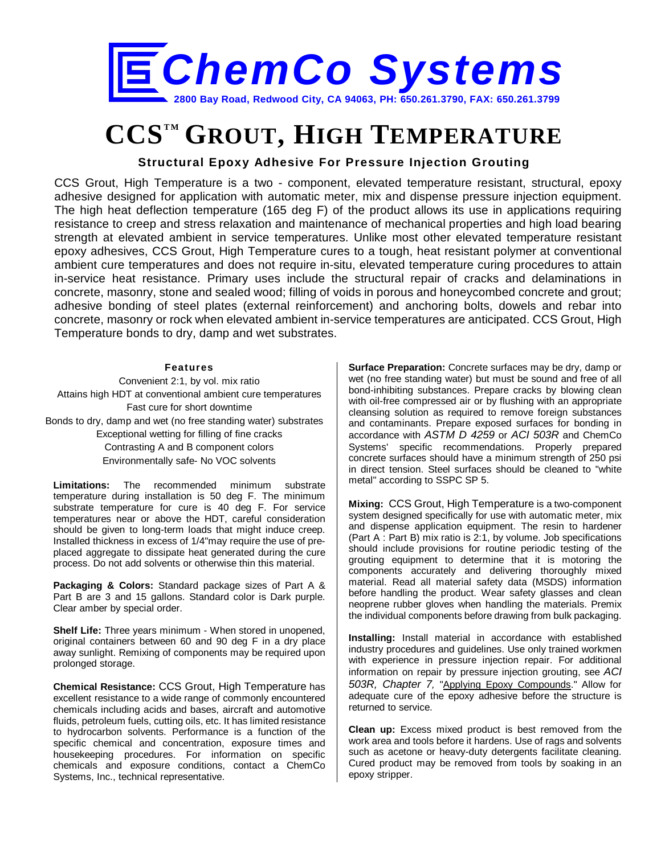

# **CCSTM GROUT, HIGH TEMPERATURE**

## **Structural Epoxy Adhesive For Pressure Injection Grouting**

CCS Grout, High Temperature is a two - component, elevated temperature resistant, structural, epoxy adhesive designed for application with automatic meter, mix and dispense pressure injection equipment. The high heat deflection temperature (165 deg F) of the product allows its use in applications requiring resistance to creep and stress relaxation and maintenance of mechanical properties and high load bearing strength at elevated ambient in service temperatures. Unlike most other elevated temperature resistant epoxy adhesives, CCS Grout, High Temperature cures to a tough, heat resistant polymer at conventional ambient cure temperatures and does not require in-situ, elevated temperature curing procedures to attain in-service heat resistance. Primary uses include the structural repair of cracks and delaminations in concrete, masonry, stone and sealed wood; filling of voids in porous and honeycombed concrete and grout; adhesive bonding of steel plates (external reinforcement) and anchoring bolts, dowels and rebar into concrete, masonry or rock when elevated ambient in-service temperatures are anticipated. CCS Grout, High Temperature bonds to dry, damp and wet substrates.

#### **Features**

Convenient 2:1, by vol. mix ratio Attains high HDT at conventional ambient cure temperatures Fast cure for short downtime Bonds to dry, damp and wet (no free standing water) substrates Exceptional wetting for filling of fine cracks

> Contrasting A and B component colors Environmentally safe- No VOC solvents

**Limitations:** The recommended minimum substrate temperature during installation is 50 deg F. The minimum substrate temperature for cure is 40 deg F. For service temperatures near or above the HDT, careful consideration should be given to long-term loads that might induce creep. Installed thickness in excess of 1/4"may require the use of preplaced aggregate to dissipate heat generated during the cure process. Do not add solvents or otherwise thin this material.

**Packaging & Colors:** Standard package sizes of Part A & Part B are 3 and 15 gallons. Standard color is Dark purple. Clear amber by special order.

**Shelf Life:** Three years minimum - When stored in unopened, original containers between 60 and 90 deg F in a dry place away sunlight. Remixing of components may be required upon prolonged storage.

**Chemical Resistance:** CCS Grout, High Temperature has excellent resistance to a wide range of commonly encountered chemicals including acids and bases, aircraft and automotive fluids, petroleum fuels, cutting oils, etc. It has limited resistance to hydrocarbon solvents. Performance is a function of the specific chemical and concentration, exposure times and housekeeping procedures. For information on specific chemicals and exposure conditions, contact a ChemCo Systems, Inc., technical representative.

**Surface Preparation:** Concrete surfaces may be dry, damp or wet (no free standing water) but must be sound and free of all bond-inhibiting substances. Prepare cracks by blowing clean with oil-free compressed air or by flushing with an appropriate cleansing solution as required to remove foreign substances and contaminants. Prepare exposed surfaces for bonding in accordance with *ASTM D 4259* or *ACI 503R* and ChemCo Systems' specific recommendations. Properly prepared concrete surfaces should have a minimum strength of 250 psi in direct tension. Steel surfaces should be cleaned to "white metal" according to SSPC SP 5.

**Mixing:** CCS Grout, High Temperature is a two-component system designed specifically for use with automatic meter, mix and dispense application equipment. The resin to hardener (Part A : Part B) mix ratio is 2:1, by volume. Job specifications should include provisions for routine periodic testing of the grouting equipment to determine that it is motoring the components accurately and delivering thoroughly mixed material. Read all material safety data (MSDS) information before handling the product. Wear safety glasses and clean neoprene rubber gloves when handling the materials. Premix the individual components before drawing from bulk packaging.

**Installing:** Install material in accordance with established industry procedures and guidelines. Use only trained workmen with experience in pressure injection repair. For additional information on repair by pressure injection grouting, see *ACI 503R, Chapter 7,* "Applying Epoxy Compounds." Allow for adequate cure of the epoxy adhesive before the structure is returned to service.

**Clean up:** Excess mixed product is best removed from the work area and tools before it hardens. Use of rags and solvents such as acetone or heavy-duty detergents facilitate cleaning. Cured product may be removed from tools by soaking in an epoxy stripper.